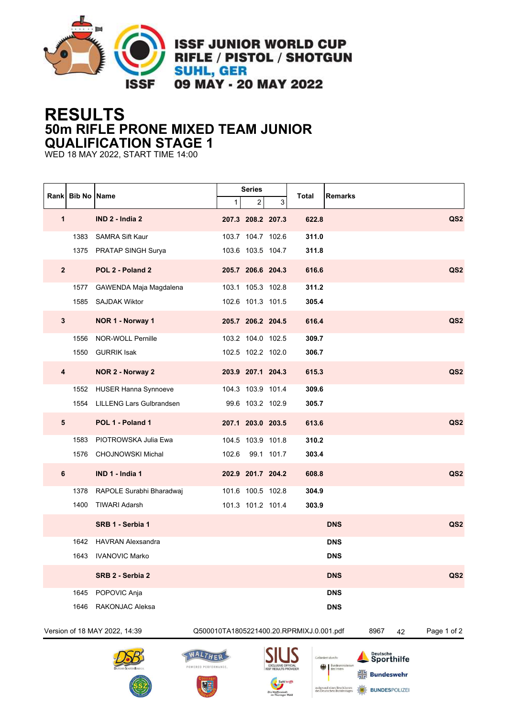

**ISSF JUNIOR WORLD CUP RIFLE / PISTOL / SHOTGUN SUHL, GER** 09 MAY - 20 MAY 2022

## **RESULTS 50m RIFLE PRONE MIXED TEAM JUNIOR QUALIFICATION STAGE 1**

WED 18 MAY 2022, START TIME 14:00

|                                                                                         | Rank   Bib No   Name |                             |         | <b>Series</b>     |             |             | Remarks          |                        |  |                 |
|-----------------------------------------------------------------------------------------|----------------------|-----------------------------|---------|-------------------|-------------|-------------|------------------|------------------------|--|-----------------|
|                                                                                         |                      |                             | 1       | 2                 | 3           | Total       |                  |                        |  |                 |
| 1                                                                                       |                      | IND 2 - India 2             |         | 207.3 208.2 207.3 |             | 622.8       |                  |                        |  | QS <sub>2</sub> |
|                                                                                         | 1383                 | <b>SAMRA Sift Kaur</b>      |         | 103.7 104.7 102.6 |             | 311.0       |                  |                        |  |                 |
|                                                                                         |                      | 1375 PRATAP SINGH Surya     |         | 103.6 103.5 104.7 |             | 311.8       |                  |                        |  |                 |
| $\mathbf{2}$                                                                            |                      | POL 2 - Poland 2            |         | 205.7 206.6 204.3 |             | 616.6       |                  |                        |  | QS <sub>2</sub> |
|                                                                                         | 1577                 | GAWENDA Maja Magdalena      |         | 103.1 105.3 102.8 |             | 311.2       |                  |                        |  |                 |
|                                                                                         | 1585                 | <b>SAJDAK Wiktor</b>        |         | 102.6 101.3 101.5 |             | 305.4       |                  |                        |  |                 |
| $\mathbf{3}$                                                                            |                      | NOR 1 - Norway 1            |         | 205.7 206.2 204.5 |             | 616.4       |                  |                        |  | QS <sub>2</sub> |
|                                                                                         | 1556                 | NOR-WOLL Pernille           |         | 103.2 104.0 102.5 |             | 309.7       |                  |                        |  |                 |
|                                                                                         | 1550                 | <b>GURRIK Isak</b>          |         | 102.5 102.2 102.0 |             | 306.7       |                  |                        |  |                 |
| 4                                                                                       |                      | NOR 2 - Norway 2            |         | 203.9 207.1 204.3 |             | 615.3       |                  |                        |  | QS <sub>2</sub> |
|                                                                                         | 1552                 | <b>HUSER Hanna Synnoeve</b> |         | 104.3 103.9 101.4 |             | 309.6       |                  |                        |  |                 |
|                                                                                         | 1554                 | LILLENG Lars Gulbrandsen    |         | 99.6 103.2 102.9  |             | 305.7       |                  |                        |  |                 |
| 5                                                                                       |                      | POL 1 - Poland 1            |         | 207.1 203.0 203.5 |             | 613.6       |                  |                        |  | QS <sub>2</sub> |
|                                                                                         | 1583                 | PIOTROWSKA Julia Ewa        |         | 104.5 103.9 101.8 |             | 310.2       |                  |                        |  |                 |
|                                                                                         | 1576                 | CHOJNOWSKI Michal           | 102.6   |                   | 99.1 101.7  | 303.4       |                  |                        |  |                 |
| 6                                                                                       |                      | IND 1 - India 1             |         | 202.9 201.7 204.2 |             | 608.8       |                  |                        |  | QS <sub>2</sub> |
|                                                                                         | 1378                 | RAPOLE Surabhi Bharadwaj    |         | 101.6 100.5 102.8 |             | 304.9       |                  |                        |  |                 |
|                                                                                         | 1400                 | <b>TIWARI Adarsh</b>        |         | 101.3 101.2 101.4 |             | 303.9       |                  |                        |  |                 |
|                                                                                         |                      | SRB 1 - Serbia 1            |         |                   |             |             | <b>DNS</b>       |                        |  | QS <sub>2</sub> |
|                                                                                         | 1642                 | <b>HAVRAN Alexsandra</b>    |         |                   |             |             | <b>DNS</b>       |                        |  |                 |
|                                                                                         | 1643                 | <b>IVANOVIC Marko</b>       |         |                   |             |             | <b>DNS</b>       |                        |  |                 |
|                                                                                         |                      | SRB 2 - Serbia 2            |         |                   |             |             | <b>DNS</b>       |                        |  | QS <sub>2</sub> |
|                                                                                         | 1645                 | POPOVIC Anja                |         |                   |             |             | <b>DNS</b>       |                        |  |                 |
|                                                                                         | 1646                 | <b>RAKONJAC Aleksa</b>      |         |                   |             |             | <b>DNS</b>       |                        |  |                 |
| Version of 18 MAY 2022, 14:39<br>8967<br>Q500010TA1805221400.20.RPRMIXJ.0.001.pdf<br>42 |                      |                             |         |                   |             | Page 1 of 2 |                  |                        |  |                 |
|                                                                                         |                      |                             | WALTHER |                   | <b>SIUS</b> |             | Gefördert durch: | Deutsche<br>Sporthilfe |  |                 |









**BUNDESPOLIZER**